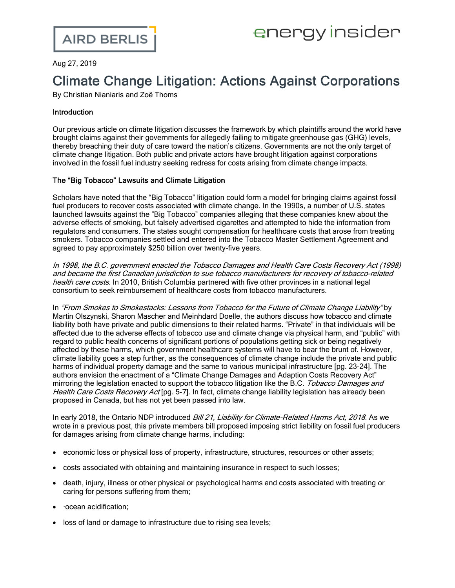Aug 27, 2019

# Climate Change Litigation: Actions Against Corporations

By Christian Nianiaris and Zoë Thoms

# Introduction

Our [previous](https://www.airdberlis.com/insights/blogs/energyinsider/post/ei-item/climate-change-litigation-urgenda-update) article on climate litigation discusses the framework by which plaintiffs around the world have brought claims against their governments for allegedly failing to mitigate greenhouse gas (GHG) levels, thereby breaching their duty of care toward the nation's citizens. Governments are not the only target of climate change litigation. Both public and private actors have brought litigation against corporations involved in the fossil fuel industry seeking redress for costs arising from climate change impacts.

# The "Big Tobacco" Lawsuits and Climate Litigation

Scholars have noted that the "Big Tobacco" litigation could form a model for bringing claims against fossil fuel producers to recover costs associated with climate change. In the 1990s, a [number](https://www.publichealthlawcenter.org/topics/commercial-tobacco-control/tobacco-control-litigation) of U.S. states launched lawsuits against the "Big Tobacco" [companies](https://www.publichealthlawcenter.org/topics/commercial-tobacco-control/tobacco-control-litigation) alleging that these companies knew about the adverse effects of smoking, but falsely advertised cigarettes and attempted to hide the information from regulators and consumers. The states sought compensation for healthcare costs that arose from treating smokers. Tobacco companies settled and entered into the Tobacco Master Settlement [Agreement](https://publichealthlawcenter.org/sites/default/files/resources/master-settlement-agreement.pdf) and agreed to pay approximately \$250 billion over twenty-five years.

In 1998, the B.C. [government](https://www2.gov.bc.ca/gov/content/health/keeping-bc-healthy-safe/tobacco-vapour/tobacco-litigation) enacted the Tobacco Damages and Health Care Costs Recovery Act (1998) and became the first Canadian jurisdiction to sue tobacco manufacturers for recovery of [tobacco-related](https://www2.gov.bc.ca/gov/content/health/keeping-bc-healthy-safe/tobacco-vapour/tobacco-litigation) [health](https://www2.gov.bc.ca/gov/content/health/keeping-bc-healthy-safe/tobacco-vapour/tobacco-litigation) care costs. In 2010, British Columbia partnered with five other provinces in a national legal consortium to seek reimbursement of healthcare costs from tobacco manufacturers.

In "From Smokes to [Smokestacks:](https://www.law.georgetown.edu/environmental-law-review/wp-content/uploads/sites/18/2018/05/30-1-From-Smokes-to-Smokestacks-Lessons-from-Tobacco-for-the-Future-of-Climate-Change-Liability.pdf) Lessons from Tobacco for the Future of Climate Change Liability" by Martin Olszynski, Sharon Mascher and Meinhdard Doelle, the authors discuss how tobacco and climate liability both have private and public dimensions to their related harms. "Private" in that individuals will be affected due to the adverse effects of tobacco use and climate change via physical harm, and "public" with regard to public health concerns of significant portions of populations getting sick or being negatively affected by these harms, which government healthcare systems will have to bear the brunt of. However, climate liability goes a step further, as the consequences of climate change include the private and public harms of individual property damage and the same to various municipal infrastructure [pg. 23-24]. The authors envision the enactment of a "Climate Change Damages and Adaption Costs Recovery Act" mirroring the legislation enacted to support the tobacco litigation like the B.C. Tobacco Damages and Health Care Costs Recovery Act [pg. 5-7]. In fact, climate change liability legislation has already been proposed in Canada, but has not yet been passed into law.

In early 2018, the Ontario NDP introduced Bill 21, Liability for [Climate-Related](http://www.ontla.on.ca/web/bills/bills_detail.do) Harms Act, 2018. As we wrote in a [previous](https://www.airdberlis.com/insights/blogs/energyinsider/post/ei-item/ontario-ndp-introduce-climate-liability-bill) post, this private members bill proposed imposing strict liability on fossil fuel producers for damages arising from climate change harms, including:

- economic loss or physical loss of property, infrastructure, structures, resources or other assets;
- · costs associated with obtaining and maintaining insurance in respect to such losses;
- · death, injury, illness or other physical or psychological harms and costs associated with treating or caring for persons suffering from them;
- · ·ocean acidification;
- loss of land or damage to infrastructure due to rising sea levels;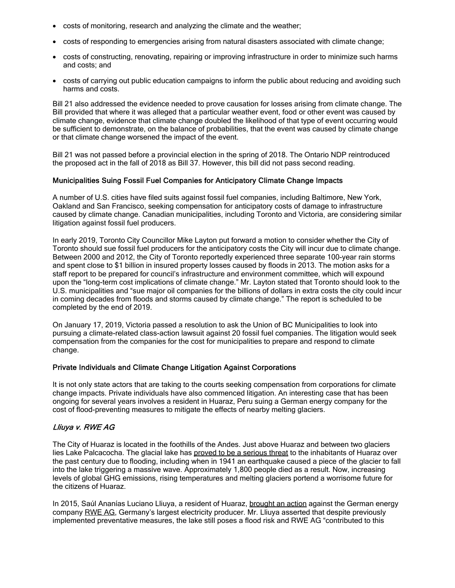- costs of monitoring, research and analyzing the climate and the weather;
- · costs of responding to emergencies arising from natural disasters associated with climate change;
- · costs of constructing, renovating, repairing or improving infrastructure in order to minimize such harms and costs; and
- · costs of carrying out public education campaigns to inform the public about reducing and avoiding such harms and costs.

Bill 21 also addressed the evidence needed to prove causation for losses arising from climate change. The Bill provided that where it was alleged that a particular weather event, food or other event was caused by climate change, evidence that climate change doubled the likelihood of that type of event occurring would be sufficient to demonstrate, on the balance of probabilities, that the event was caused by climate change or that climate change worsened the impact of the event.

Bill 21 was not passed before a provincial election in the spring of 2018. The Ontario NDP reintroduced the proposed act in the fall of 2018 as [Bill](https://www.ola.org/en/legislative-business/bills/parliament-42/session-1/bill-37) 37. However, this bill did not pass second reading.

## Municipalities Suing Fossil Fuel Companies for Anticipatory Climate Change Impacts

A number of U.S. cities have filed suits against fossil fuel companies, including [Baltimore](http://climatecasechart.com/case/mayor-city-council-of-baltimore-v-bp-plc/), New [York,](http://climatecasechart.com/case/city-new-york-v-bp-plc/) Oakland and San [Francisco](http://climatecasechart.com/case/people-state-california-v-bp-plc-oakland/), seeking compensation for anticipatory costs of damage to infrastructure caused by climate change. Canadian municipalities, including Toronto and Victoria, are considering similar litigation against fossil fuel producers.

In early 2019, Toronto City [Councillor](https://www.toronto.ca/legdocs/mmis/2019/mm/bgrd/backgroundfile-131063.pdf) Mike Layton put forward a motion to consider whether the City of Toronto should sue fossil fuel producers for the [anticipatory](https://www.toronto.ca/legdocs/mmis/2019/mm/bgrd/backgroundfile-131063.pdf) costs the City will incur due to climate change. Between 2000 and 2012, the City of Toronto [reportedly](https://www.climateliabilitynews.org/2019/04/26/toronto-climate-liability-suit-city-council/) experienced three separate 100-year rain storms and spent close to \$1 billion in insured property losses caused by floods in 2013. The motion asks for a staff report to be prepared for council's infrastructure and environment committee, which will expound upon the "long-term cost implications of climate change." Mr. Layton stated that [Toronto](https://www.theglobeandmail.com/canada/toronto/article-toronto-should-sue-oil-companies-over-climate-change-councillor-says/) should look to the U.S. [municipalities](https://www.theglobeandmail.com/canada/toronto/article-toronto-should-sue-oil-companies-over-climate-change-councillor-says/) and "sue major oil companies for the billions of dollars in extra costs the city could incur in coming decades from floods and storms caused by climate change." The report is scheduled to be completed by the end of 2019.

On January 17, 2019, Victoria passed a resolution to ask the Union of BC [Municipalities](https://www.theglobeandmail.com/canada/british-columbia/article-city-of-victoria-recommends-class-action-lawsuit-against-the-oil-and/) to look into pursuing a [climate-related](https://www.theglobeandmail.com/canada/british-columbia/article-city-of-victoria-recommends-class-action-lawsuit-against-the-oil-and/) class-action lawsuit against 20 fossil fuel companies. The litigation would seek compensation from the companies for the cost for municipalities to prepare and respond to climate change.

#### Private Individuals and Climate Change Litigation Against Corporations

It is not only state actors that are taking to the courts seeking compensation from corporations for climate change impacts. Private individuals have also commenced litigation. An interesting case that has been ongoing for several years involves a resident in Huaraz, Peru suing a German energy company for the cost of flood-preventing measures to mitigate the effects of nearby melting glaciers.

## Lliuya v. RWE AG

The City of Huaraz is located in the foothills of the Andes. Just above Huaraz and between two glaciers lies Lake Palcacocha. The glacial lake has proved to be a serious threat to the inhabitants of Huaraz over the past century due to flooding, including when in 1941 an earthquake caused a piece of the glacier to fall into the lake triggering a massive wave. Approximately 1,800 people died as a result. Now, increasing levels of global GHG emissions, rising temperatures and melting glaciers portend a worrisome future for the citizens of Huaraz.

In 2015, Saúl Ananías Luciano Lliuya, a resident of Huaraz, brought an action against the German energy company RWE AG, Germany's largest electricity producer. Mr. Lliuya asserted that despite previously implemented preventative measures, the lake still poses a flood risk and RWE AG "contributed to this